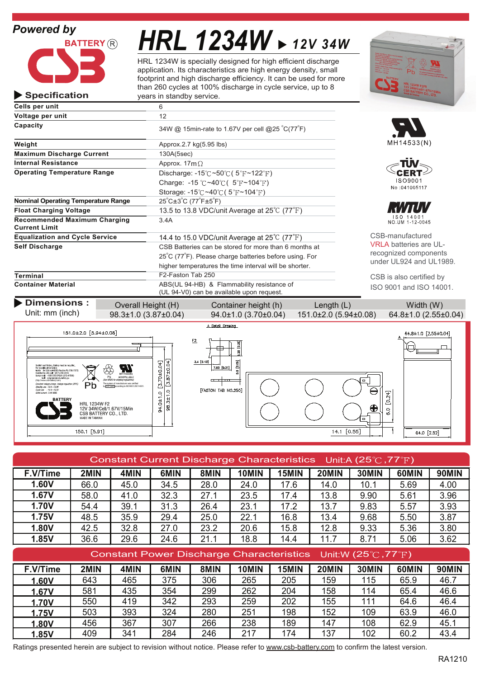**Specification**



# *HRL 1234W 12V 34W*

HRL 1234W is specially designed for high efficient discharge application. Its characteristics are high energy density, small footprint and high discharge efficiency. It can be used for more than 260 cycles at 100% discharge in cycle service, up to 8 years in standby service.



| Cells per unit                                              | 6                                                                                       |                               |  |  |
|-------------------------------------------------------------|-----------------------------------------------------------------------------------------|-------------------------------|--|--|
| Voltage per unit                                            | 12                                                                                      |                               |  |  |
| Capacity                                                    | 34W @ 15min-rate to 1.67V per cell @25 °C(77°F)                                         |                               |  |  |
| Weight                                                      | Approx.2.7 kg(5.95 lbs)                                                                 | MH14533(N)                    |  |  |
| <b>Maximum Discharge Current</b>                            | 130A(5sec)                                                                              |                               |  |  |
| <b>Internal Resistance</b>                                  | Approx. $17m\Omega$                                                                     |                               |  |  |
| <b>Operating Temperature Range</b>                          | Discharge: $-15^{\circ}$ C ~50 $\circ$ C (5 <sup>e</sup> F ~ 122 <sup>e</sup> F)        |                               |  |  |
|                                                             | ISO9001<br>Charge: -15 °C ~40 °C ( $5$ °F ~104 °F)                                      |                               |  |  |
|                                                             | Storage: $-15^{\circ}$ C ~40 $^{\circ}$ C (5 $^{\circ}$ F ~104 $^{\circ}$ F)            | No:041005117                  |  |  |
| <b>Nominal Operating Temperature Range</b>                  | $25^{\circ}$ C $\pm 3^{\circ}$ C (77 $^{\circ}$ F $\pm 5^{\circ}$ F)                    |                               |  |  |
| <b>Float Charging Voltage</b>                               | 13.5 to 13.8 VDC/unit Average at $25^{\circ}$ C (77 $^{\circ}$ F)                       |                               |  |  |
| <b>Recommended Maximum Charging</b><br><b>Current Limit</b> | 3.4A                                                                                    | ISO 14001<br>NO. UM 1-12-0045 |  |  |
| <b>Equalization and Cycle Service</b>                       | 14.4 to 15.0 VDC/unit Average at $25^{\circ}$ C (77 $^{\circ}$ F)                       | CSB-manufactured              |  |  |
| Self Discharge                                              | CSB Batteries can be stored for more than 6 months at                                   | <b>VRLA batteries are UL-</b> |  |  |
|                                                             | 25°C (77°F). Please charge batteries before using. For                                  | recognized components         |  |  |
|                                                             | higher temperatures the time interval will be shorter.                                  | under UL924 and UL1989.       |  |  |
| Terminal                                                    | F2-Faston Tab 250                                                                       | CSB is also certified by      |  |  |
| <b>Container Material</b>                                   | ABS(UL 94-HB) & Flammability resistance of<br>(UL 94-V0) can be available upon request. | ISO 9001 and ISO 14001.       |  |  |



| Constant Current Discharge Characteristics Unit:A (25 $\degree$ C, 77 $\degree$ F) |      |                                                                                 |      |      |       |       |       |       |       |              |
|------------------------------------------------------------------------------------|------|---------------------------------------------------------------------------------|------|------|-------|-------|-------|-------|-------|--------------|
| F.V/Time                                                                           | 2MIN | 4MIN                                                                            | 6MIN | 8MIN | 10MIN | 15MIN | 20MIN | 30MIN | 60MIN | 90MIN        |
| 1.60V                                                                              | 66.0 | 45.0                                                                            | 34.5 | 28.0 | 24.0  | 17.6  | 14.0  | 10.1  | 5.69  | 4.00         |
| 1.67V                                                                              | 58.0 | 41.0                                                                            | 32.3 | 27.1 | 23.5  | 17.4  | 13.8  | 9.90  | 5.61  | 3.96         |
| <b>1.70V</b>                                                                       | 54.4 | 39.1                                                                            | 31.3 | 26.4 | 23.1  | 17.2  | 13.7  | 9.83  | 5.57  | 3.93         |
| 1.75V                                                                              | 48.5 | 35.9                                                                            | 29.4 | 25.0 | 22.1  | 16.8  | 13.4  | 9.68  | 5.50  | 3.87         |
| 1.80V                                                                              | 42.5 | 32.8                                                                            | 27.0 | 23.2 | 20.6  | 15.8  | 12.8  | 9.33  | 5.36  | 3.80         |
| 1.85V                                                                              | 36.6 | 29.6                                                                            | 24.6 | 21.1 | 18.8  | 14.4  | 11.7  | 8.71  | 5.06  | 3.62         |
|                                                                                    |      |                                                                                 |      |      |       |       |       |       |       |              |
|                                                                                    |      | Constant Power Discharge Characteristics Unit:W (25 $\degree$ C,77 $\degree$ F) |      |      |       |       |       |       |       |              |
| F.V/Time                                                                           | 2MIN | 4MIN                                                                            | 6MIN | 8MIN | 10MIN | 15MIN | 20MIN | 30MIN | 60MIN | <b>90MIN</b> |
| 1.60V                                                                              | 643  | 465                                                                             | 375  | 306  | 265   | 205   | 159   | 115   | 65.9  | 46.7         |
| 1.67V                                                                              | 581  | 435                                                                             | 354  | 299  | 262   | 204   | 158   | 114   | 65.4  | 46.6         |
| <b>1.70V</b>                                                                       | 550  | 419                                                                             | 342  | 293  | 259   | 202   | 155   | 111   | 64.6  | 46.4         |
| 1.75V                                                                              | 503  | 393                                                                             | 324  | 280  | 251   | 198   | 152   | 109   | 63.9  | 46.0         |
| 1.80V                                                                              | 456  | 367                                                                             | 307  | 266  | 238   | 189   | 147   | 108   | 62.9  | 45.1         |

Ratings presented herein are subject to revision without notice. Please refer to www.csb-battery.com to confirm the latest version.